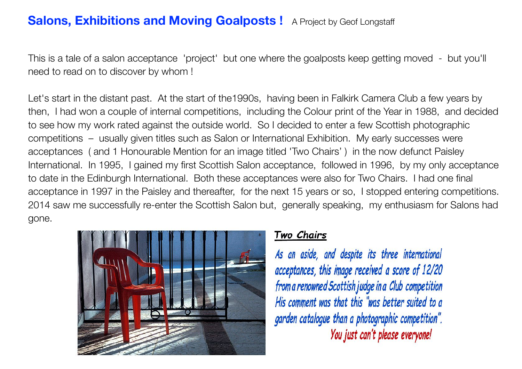# **Salons, Exhibitions and Moving Goalposts!** A Project by Geof Longstaff

This is a tale of a salon acceptance 'project' but one where the goalposts keep getting moved - but you'll need to read on to discover by whom !

Let's start in the distant past. At the start of the1990s, having been in Falkirk Camera Club a few years by then, I had won a couple of internal competitions, including the Colour print of the Year in 1988, and decided to see how my work rated against the outside world. So I decided to enter a few Scottish photographic competitions – usually given titles such as Salon or International Exhibition. My early successes were acceptances ( and 1 Honourable Mention for an image titled 'Two Chairs' ) in the now defunct Paisley International. In 1995, I gained my first Scottish Salon acceptance, followed in 1996, by my only acceptance to date in the Edinburgh International. Both these acceptances were also for Two Chairs. I had one final acceptance in 1997 in the Paisley and thereafter, for the next 15 years or so, I stopped entering competitions. 2014 saw me successfully re-enter the Scottish Salon but, generally speaking, my enthusiasm for Salons had gone.



### Two Chairs

As an aside, and despite its three international acceptances, this image received a score of 12/20 from a renowned Scottish judge in a Club competition His comment was that this "was better suited to a garden catalogue than a photographic competition". You just can't please everyone!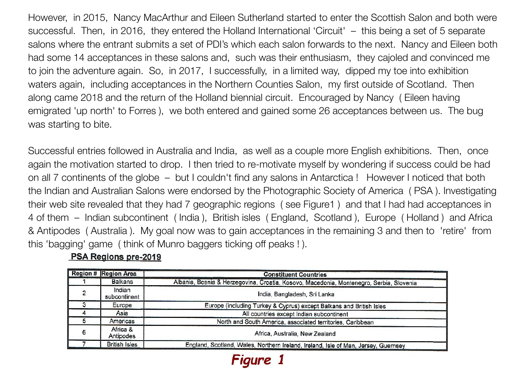However, in 2015, Nancy MacArthur and Eileen Sutherland started to enter the Scottish Salon and both were successful. Then, in 2016, they entered the Holland International 'Circuit' – this being a set of 5 separate salons where the entrant submits a set of PDI's which each salon forwards to the next. Nancy and Eileen both had some 14 acceptances in these salons and, such was their enthusiasm, they cajoled and convinced me to join the adventure again. So, in 2017, I successfully, in a limited way, dipped my toe into exhibition waters again, including acceptances in the Northern Counties Salon, my first outside of Scotland. Then along came 2018 and the return of the Holland biennial circuit. Encouraged by Nancy ( Eileen having emigrated 'up north' to Forres ), we both entered and gained some 26 acceptances between us. The bug was starting to bite.

Successful entries followed in Australia and India, as well as a couple more English exhibitions. Then, once again the motivation started to drop. I then tried to re-motivate myself by wondering if success could be had on all 7 continents of the globe – but I couldn't find any salons in Antarctica ! However I noticed that both the Indian and Australian Salons were endorsed by the Photographic Society of America ( PSA ). Investigating their web site revealed that they had 7 geographic regions ( see Figure1 ) and that I had had acceptances in 4 of them – Indian subcontinent ( India ), British isles ( England, Scotland ), Europe ( Holland ) and Africa & Antipodes ( Australia ). My goal now was to gain acceptances in the remaining 3 and then to 'retire' from this 'bagging' game ( think of Munro baggers ticking off peaks ! ).

|   | <b>Region # Region Area</b> | <b>Constituent Countries</b>                                                            |
|---|-----------------------------|-----------------------------------------------------------------------------------------|
|   | <b>Balkans</b>              | Albania, Bosnia & Herzegovina, Croatia, Kosovo, Macedonia, Montenegro, Serbia, Slovenia |
|   | Indian<br>subcontinent      | India, Bangladesh, Sri Lanka                                                            |
|   | Europe                      | Europe (including Turkey & Cyprus) except Balkans and British Isles                     |
|   | Asia                        | All countries except Indian subcontinent                                                |
|   | Americas                    | North and South America, associated territories, Caribbean                              |
| 6 | Africa &<br>Antipodes       | Africa, Australia, New Zealand                                                          |
|   | <b>British Isles</b>        | England, Scotland, Wales, Northern Ireland, Ireland, Isle of Man, Jersey, Guernsey      |

Figure

## PSA Regions pre-2019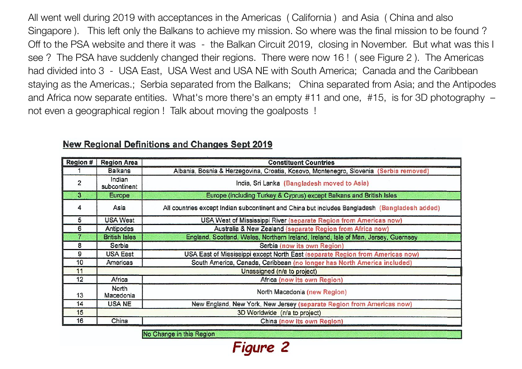All went well during 2019 with acceptances in the Americas ( California ) and Asia ( China and also Singapore ). This left only the Balkans to achieve my mission. So where was the final mission to be found ? Off to the PSA website and there it was - the Balkan Circuit 2019, closing in November. But what was this I see ? The PSA have suddenly changed their regions. There were now 16 ! ( see Figure 2 ). The Americas had divided into 3 - USA East, USA West and USA NE with South America; Canada and the Caribbean staying as the Americas.; Serbia separated from the Balkans; China separated from Asia; and the Antipodes and Africa now separate entities. What's more there's an empty #11 and one, #15, is for 3D photography – not even a geographical region ! Talk about moving the goalposts !

| <b>Region #</b> | <b>Region Area</b>          | <b>Constituent Countries</b>                                                                  |
|-----------------|-----------------------------|-----------------------------------------------------------------------------------------------|
|                 | <b>Balkans</b>              | Albania, Bosnia & Herzegovina, Croatia, Kosovo, Montenegro, Slovenia (Serbia removed)         |
| $\overline{c}$  | Indian<br>subcontinent      | India, Sri Lanka (Bangladesh moved to Asia)                                                   |
| 3               | <b>Europe</b>               | Europe (including Turkey & Cyprus) except Balkans and British Isles                           |
| 4               | Asia                        | All countries except Indian subcontinent and China but includes Bangladesh (Bangladesh added) |
| 5               | USA West                    | USA West of Mississippi River (separate Region from Americas now)                             |
| 6               | Antipodes                   | Australia & New Zealand (separate Region from Africa now)                                     |
|                 | <b>British Isles</b>        | England, Scotland, Wales, Northern Ireland, Ireland, Isle of Man, Jersey, Guernsey            |
| 8               | Serbia                      | Serbia (now its own Region)                                                                   |
| 9               | <b>USA East</b>             | USA East of Mississippi except North East (separate Region from Americas now)                 |
| 10              | Americas                    | South America, Canada, Caribbean (no longer has North America included)                       |
| 11              | Unassigned (n/a to project) |                                                                                               |
| 12              | Africa                      | Africa (now its own Region)                                                                   |
| 13              | North<br>Macedonia          | North Macedonia (new Region)                                                                  |
| 14              | USA NE                      | New England, New York, New Jersey (separate Region from Americas now)                         |
| 15              |                             | 3D Worldwide (n/a to project)                                                                 |
| 16              | China                       | China (now its own Region)                                                                    |
|                 |                             |                                                                                               |

Figure 2

#### **New Regional Definitions and Changes Sept 2019**

No Change in this Region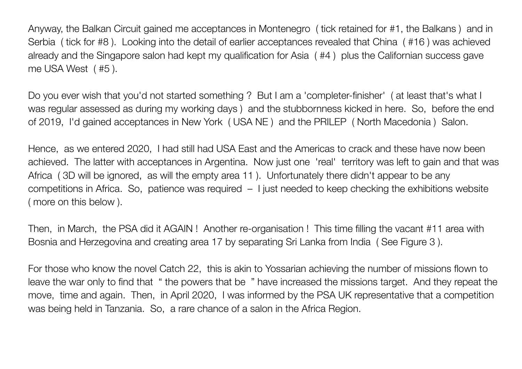Anyway, the Balkan Circuit gained me acceptances in Montenegro ( tick retained for #1, the Balkans ) and in Serbia ( tick for #8 ). Looking into the detail of earlier acceptances revealed that China ( #16 ) was achieved already and the Singapore salon had kept my qualification for Asia ( #4 ) plus the Californian success gave me USA West ( #5 ).

Do you ever wish that you'd not started something ? But I am a 'completer-finisher' ( at least that's what I was regular assessed as during my working days ) and the stubbornness kicked in here. So, before the end of 2019, I'd gained acceptances in New York ( USA NE ) and the PRILEP ( North Macedonia ) Salon.

Hence, as we entered 2020, I had still had USA East and the Americas to crack and these have now been achieved. The latter with acceptances in Argentina. Now just one 'real' territory was left to gain and that was Africa ( 3D will be ignored, as will the empty area 11 ). Unfortunately there didn't appear to be any competitions in Africa. So, patience was required – I just needed to keep checking the exhibitions website ( more on this below ).

Then, in March, the PSA did it AGAIN ! Another re-organisation ! This time filling the vacant #11 area with Bosnia and Herzegovina and creating area 17 by separating Sri Lanka from India ( See Figure 3 ).

For those who know the novel Catch 22, this is akin to Yossarian achieving the number of missions flown to leave the war only to find that " the powers that be " have increased the missions target. And they repeat the move, time and again. Then, in April 2020, I was informed by the PSA UK representative that a competition was being held in Tanzania. So, a rare chance of a salon in the Africa Region.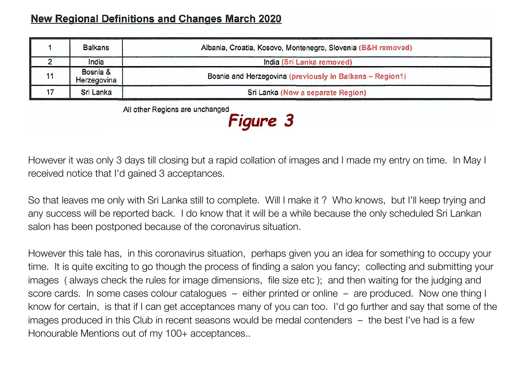# **New Regional Definitions and Changes March 2020**

|    | Balkans                 | Albania, Croatia, Kosovo, Montenegro, Slovenia (B&H removed) |  |
|----|-------------------------|--------------------------------------------------------------|--|
|    | India                   | India (Sri Lanka removed)                                    |  |
| 11 | Bosnia &<br>Herzegovina | Bosnia and Herzegovina (previously in Balkans - Region1)     |  |
|    | Sri Lanka               | Sri Lanka (Now a separate Region)                            |  |

All other Regions are unchanged

**Figure 3** 

However it was only 3 days till closing but a rapid collation of images and I made my entry on time. In May I received notice that I'd gained 3 acceptances.

So that leaves me only with Sri Lanka still to complete. Will I make it ? Who knows, but I'll keep trying and any success will be reported back. I do know that it will be a while because the only scheduled Sri Lankan salon has been postponed because of the coronavirus situation.

However this tale has, in this coronavirus situation, perhaps given you an idea for something to occupy your time. It is quite exciting to go though the process of finding a salon you fancy; collecting and submitting your images ( always check the rules for image dimensions, file size etc ); and then waiting for the judging and score cards. In some cases colour catalogues – either printed or online – are produced. Now one thing I know for certain, is that if I can get acceptances many of you can too. I'd go further and say that some of the images produced in this Club in recent seasons would be medal contenders – the best I've had is a few Honourable Mentions out of my 100+ acceptances..